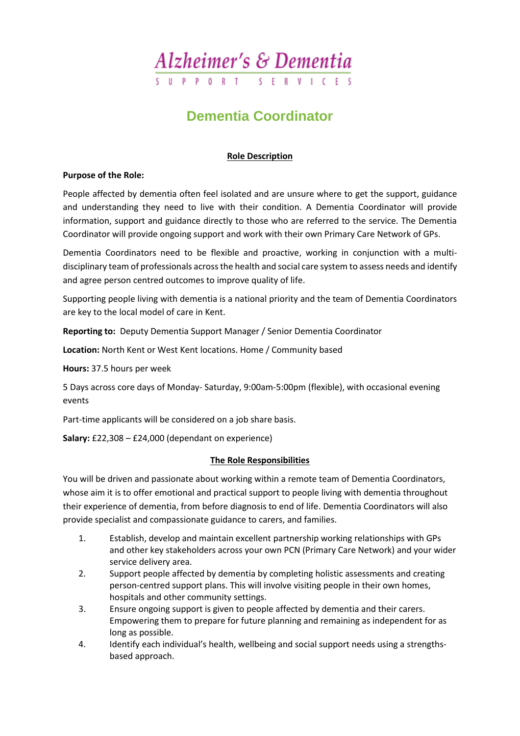

### **Dementia Coordinator**

#### **Role Description**

#### **Purpose of the Role:**

People affected by dementia often feel isolated and are unsure where to get the support, guidance and understanding they need to live with their condition. A Dementia Coordinator will provide information, support and guidance directly to those who are referred to the service. The Dementia Coordinator will provide ongoing support and work with their own Primary Care Network of GPs.

Dementia Coordinators need to be flexible and proactive, working in conjunction with a multidisciplinary team of professionals across the health and social care system to assess needs and identify and agree person centred outcomes to improve quality of life.

Supporting people living with dementia is a national priority and the team of Dementia Coordinators are key to the local model of care in Kent.

**Reporting to:** Deputy Dementia Support Manager / Senior Dementia Coordinator

**Location:** North Kent or West Kent locations. Home / Community based

**Hours:** 37.5 hours per week

5 Days across core days of Monday- Saturday, 9:00am-5:00pm (flexible), with occasional evening events

Part-time applicants will be considered on a job share basis.

**Salary:** £22,308 – £24,000 (dependant on experience)

#### **The Role Responsibilities**

You will be driven and passionate about working within a remote team of Dementia Coordinators, whose aim it is to offer emotional and practical support to people living with dementia throughout their experience of dementia, from before diagnosis to end of life. Dementia Coordinators will also provide specialist and compassionate guidance to carers, and families.

- 1. Establish, develop and maintain excellent partnership working relationships with GPs and other key stakeholders across your own PCN (Primary Care Network) and your wider service delivery area.
- 2. Support people affected by dementia by completing holistic assessments and creating person-centred support plans. This will involve visiting people in their own homes, hospitals and other community settings.
- 3. Ensure ongoing support is given to people affected by dementia and their carers. Empowering them to prepare for future planning and remaining as independent for as long as possible.
- 4. Identify each individual's health, wellbeing and social support needs using a strengthsbased approach.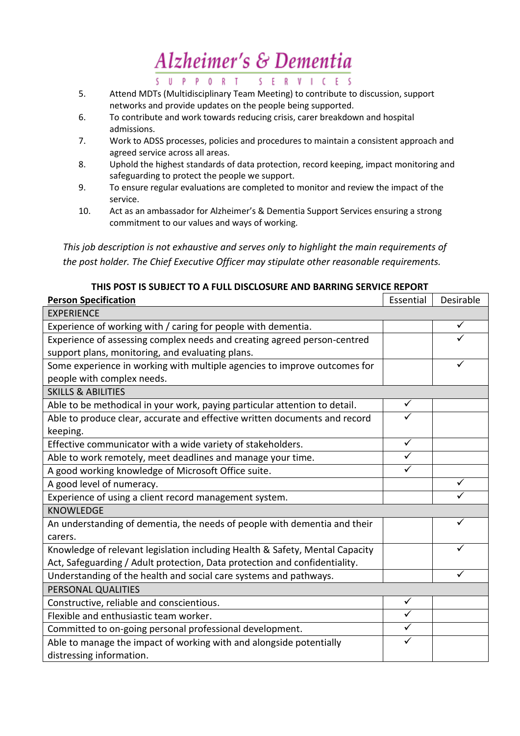## Alzheimer's & Dementia

S U P P O R T S E R V I C E S

- 5. Attend MDTs (Multidisciplinary Team Meeting) to contribute to discussion, support networks and provide updates on the people being supported.
- 6. To contribute and work towards reducing crisis, carer breakdown and hospital admissions.
- 7. Work to ADSS processes, policies and procedures to maintain a consistent approach and agreed service across all areas.
- 8. Uphold the highest standards of data protection, record keeping, impact monitoring and safeguarding to protect the people we support.
- 9. To ensure regular evaluations are completed to monitor and review the impact of the service.
- 10. Act as an ambassador for Alzheimer's & Dementia Support Services ensuring a strong commitment to our values and ways of working.

*This job description is not exhaustive and serves only to highlight the main requirements of the post holder. The Chief Executive Officer may stipulate other reasonable requirements.*

| THIS POST IS SUBJECT TO A FULL DISCLOSURE AND BARRING SERVICE REPORT         |              |           |  |  |
|------------------------------------------------------------------------------|--------------|-----------|--|--|
| <b>Person Specification</b>                                                  | Essential    | Desirable |  |  |
| <b>EXPERIENCE</b>                                                            |              |           |  |  |
| Experience of working with / caring for people with dementia.                |              | ✓         |  |  |
| Experience of assessing complex needs and creating agreed person-centred     |              |           |  |  |
| support plans, monitoring, and evaluating plans.                             |              |           |  |  |
| Some experience in working with multiple agencies to improve outcomes for    |              |           |  |  |
| people with complex needs.                                                   |              |           |  |  |
| <b>SKILLS &amp; ABILITIES</b>                                                |              |           |  |  |
| Able to be methodical in your work, paying particular attention to detail.   | ✓            |           |  |  |
| Able to produce clear, accurate and effective written documents and record   |              |           |  |  |
| keeping.                                                                     |              |           |  |  |
| Effective communicator with a wide variety of stakeholders.                  | $\checkmark$ |           |  |  |
| Able to work remotely, meet deadlines and manage your time.                  | ✓            |           |  |  |
| A good working knowledge of Microsoft Office suite.                          | ✓            |           |  |  |
| A good level of numeracy.                                                    |              | ✓         |  |  |
| Experience of using a client record management system.                       |              |           |  |  |
| <b>KNOWLEDGE</b>                                                             |              |           |  |  |
| An understanding of dementia, the needs of people with dementia and their    |              |           |  |  |
| carers.                                                                      |              |           |  |  |
| Knowledge of relevant legislation including Health & Safety, Mental Capacity |              |           |  |  |
| Act, Safeguarding / Adult protection, Data protection and confidentiality.   |              |           |  |  |
| Understanding of the health and social care systems and pathways.            |              |           |  |  |
| PERSONAL QUALITIES                                                           |              |           |  |  |
| Constructive, reliable and conscientious.                                    | $\checkmark$ |           |  |  |
| Flexible and enthusiastic team worker.                                       | ✓            |           |  |  |
| Committed to on-going personal professional development.                     | ✓            |           |  |  |
| Able to manage the impact of working with and alongside potentially          | ✓            |           |  |  |

distressing information.

**THIS POST IS SUBJECT TO A FULL DISCLOSURE AND BARRING SERVICE REPORT**